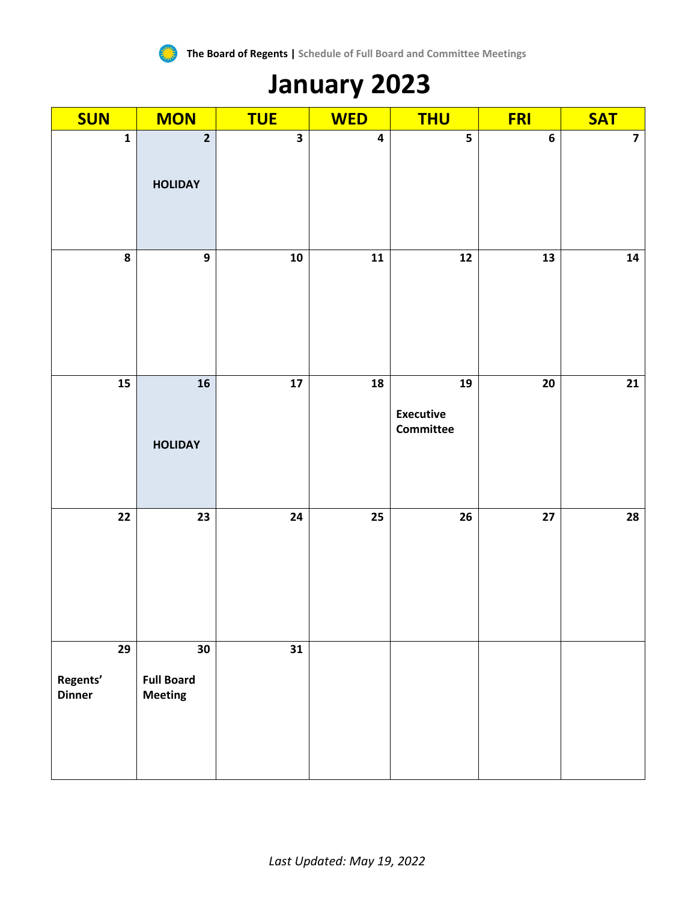

## **January 2023**

| <b>SUN</b>                      | <b>MON</b>                                | <b>TUE</b>              | <b>WED</b>              | <b>THU</b>                          | <b>FRI</b>      | <b>SAT</b>     |
|---------------------------------|-------------------------------------------|-------------------------|-------------------------|-------------------------------------|-----------------|----------------|
| $\mathbf{1}$                    | $\overline{2}$<br><b>HOLIDAY</b>          | $\overline{\mathbf{3}}$ | $\overline{\mathbf{4}}$ | 5                                   | $\bf 6$         | $\overline{7}$ |
|                                 |                                           |                         |                         |                                     |                 |                |
| $\pmb{8}$                       | $\mathbf{9}$                              | ${\bf 10}$              | ${\bf 11}$              | ${\bf 12}$                          | 13              | ${\bf 14}$     |
| ${\bf 15}$                      | ${\bf 16}$<br><b>HOLIDAY</b>              | $\frac{1}{17}$          | 18                      | 19<br><b>Executive</b><br>Committee | $\overline{20}$ | 21             |
| $22$                            | 23                                        | 24                      | 25                      | $26\phantom{.}$                     | $\overline{27}$ | 28             |
| 29<br>Regents'<br><b>Dinner</b> | 30<br><b>Full Board</b><br><b>Meeting</b> | 31                      |                         |                                     |                 |                |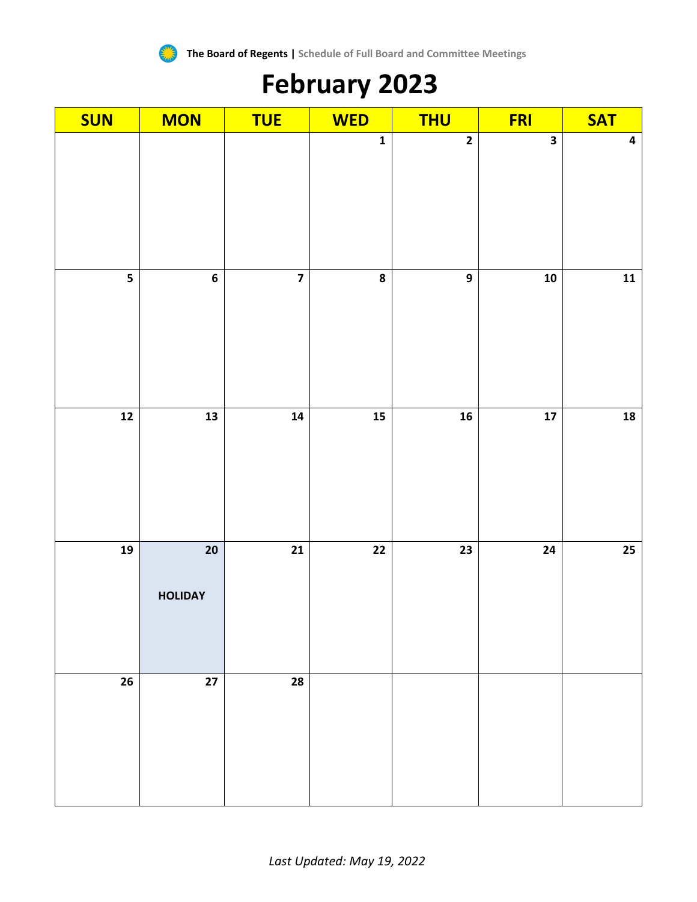

# **February 2023**

| <b>SUN</b>               | <b>MON</b>                        | <b>TUE</b>      | <b>WED</b>               | <b>THU</b>               | <b>FRI</b>     | <b>SAT</b>               |
|--------------------------|-----------------------------------|-----------------|--------------------------|--------------------------|----------------|--------------------------|
|                          |                                   |                 | $\mathbf{1}$             | $\overline{\mathbf{2}}$  | 3              | $\pmb{4}$                |
| $\overline{\mathbf{5}}$  | $\overline{\mathbf{6}}$           | $\overline{7}$  | $\overline{\mathbf{8}}$  | $\overline{9}$           | $10$           | $\overline{11}$          |
| $\overline{\mathbf{12}}$ | $\overline{\mathbf{13}}$          | 14              | $\overline{15}$          | $\overline{\mathbf{16}}$ | $\frac{1}{17}$ | $\overline{\mathbf{18}}$ |
| $\overline{19}$          | $\overline{20}$<br><b>HOLIDAY</b> | $\overline{21}$ | $\overline{\mathbf{22}}$ | 23                       | 24             | $\overline{25}$          |
| 26                       | $\overline{27}$                   | 28              |                          |                          |                |                          |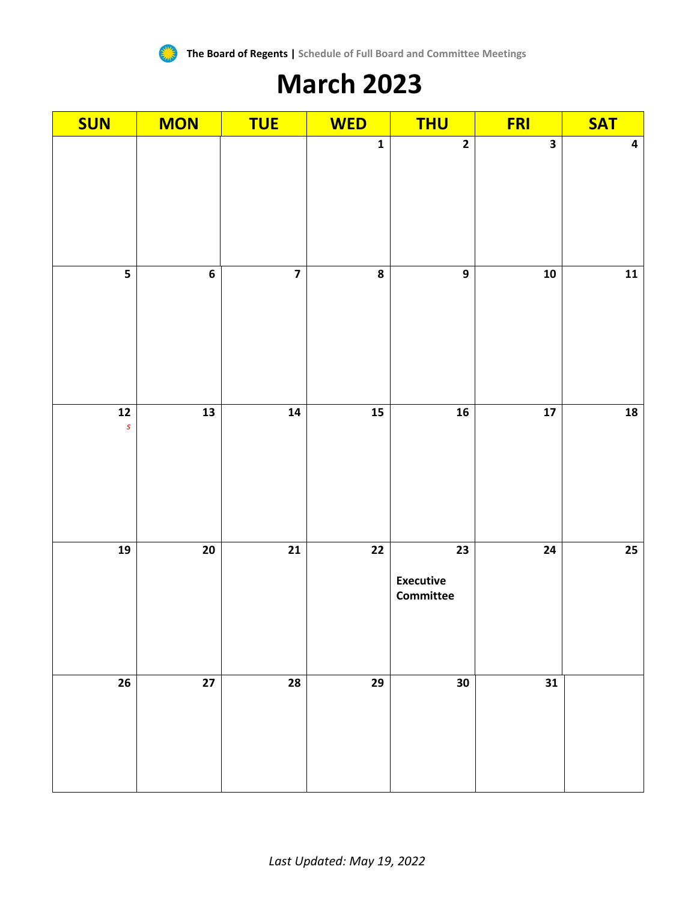

### **March 2023**

| <b>SUN</b>                           | <b>MON</b>               | <b>TUE</b>              | <b>WED</b>   | <b>THU</b>                          | <b>FRI</b>               | <b>SAT</b>              |
|--------------------------------------|--------------------------|-------------------------|--------------|-------------------------------------|--------------------------|-------------------------|
|                                      |                          |                         | $\mathbf{1}$ | $\overline{2}$                      | $\overline{\mathbf{3}}$  | $\overline{\mathbf{4}}$ |
| $\overline{\mathbf{5}}$              | $\boldsymbol{6}$         | $\overline{\mathbf{z}}$ | 8            | $\overline{9}$                      | 10                       | $11$                    |
| $\overline{\mathbf{12}}$<br>$\pmb S$ | $\overline{\mathbf{13}}$ | 14                      | 15           | $16$                                | $\overline{\mathbf{17}}$ | 18                      |
| 19                                   | ${\bf 20}$               | 21                      | 22           | 23<br><b>Executive</b><br>Committee | 24                       | $25\,$                  |
| 26                                   | 27                       | 28                      | 29           | 30                                  | 31                       |                         |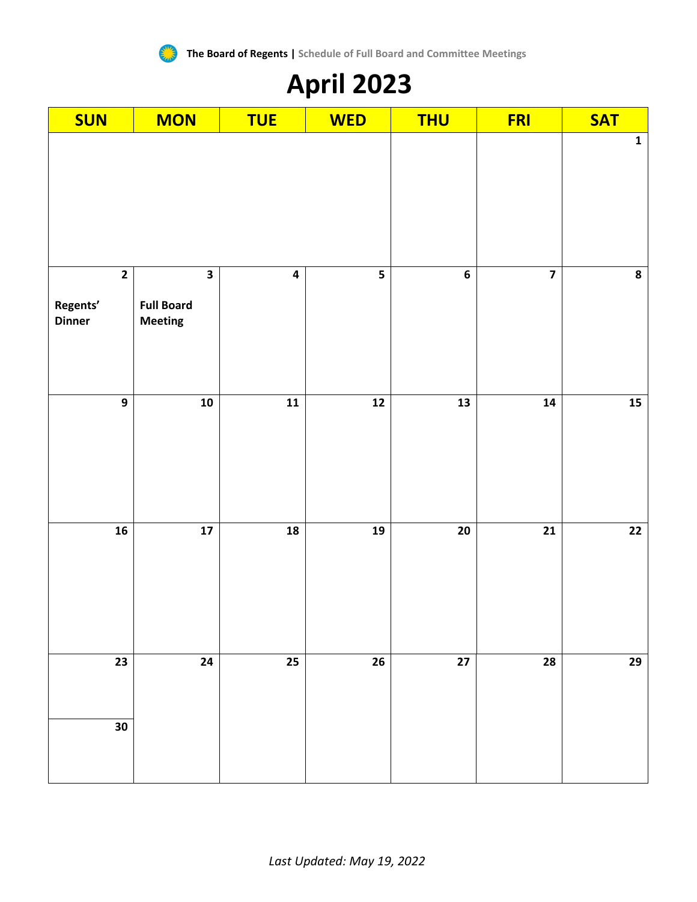

# **April 2023**

| <b>SUN</b>                                | <b>MON</b>                                                     | <b>TUE</b>              | <b>WED</b>              | <b>THU</b> | <b>FRI</b>              | <b>SAT</b>      |
|-------------------------------------------|----------------------------------------------------------------|-------------------------|-------------------------|------------|-------------------------|-----------------|
|                                           |                                                                |                         |                         |            |                         | $\mathbf{1}$    |
| $\mathbf{2}$<br>Regents'<br><b>Dinner</b> | $\overline{\mathbf{3}}$<br><b>Full Board</b><br><b>Meeting</b> | $\overline{\mathbf{4}}$ | $\overline{\mathbf{5}}$ | $\bf 6$    | $\overline{\mathbf{z}}$ | 8               |
| $\mathbf{9}$                              | ${\bf 10}$                                                     | ${\bf 11}$              | $12$                    | 13         | 14                      | ${\bf 15}$      |
| 16                                        | $\overline{\mathbf{17}}$                                       | 18                      | 19                      | ${\bf 20}$ | $\overline{21}$         | $\overline{22}$ |
| 23                                        | ${\bf 24}$                                                     | 25                      | ${\bf 26}$              | $27\,$     | 28                      | 29              |
| 30                                        |                                                                |                         |                         |            |                         |                 |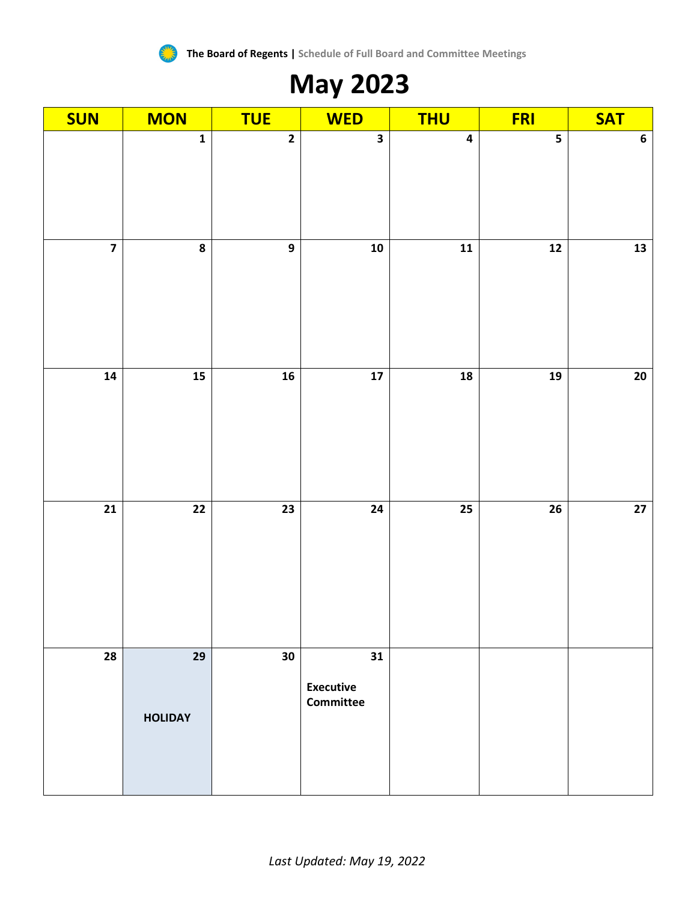

# **May 2023**

| <b>SUN</b>              | <b>MON</b>              | <b>TUE</b>      | <b>WED</b>                                 | <b>THU</b>               | <b>FRI</b>              | <b>SAT</b>       |
|-------------------------|-------------------------|-----------------|--------------------------------------------|--------------------------|-------------------------|------------------|
|                         | $\overline{\mathbf{1}}$ | $\overline{2}$  | $\overline{\mathbf{3}}$                    | $\overline{\mathbf{4}}$  | $\overline{\mathbf{5}}$ | $\boldsymbol{6}$ |
| $\overline{\mathbf{z}}$ | $\overline{\mathbf{8}}$ | $\overline{9}$  | $\overline{10}$                            | $\overline{\mathbf{11}}$ | $\overline{12}$         | $\overline{13}$  |
| $\overline{14}$         | 15                      | $\overline{16}$ | $\frac{1}{17}$                             | $\frac{1}{8}$            | 19                      | 20               |
| $\overline{21}$         | $\overline{22}$         | $\overline{23}$ | $\overline{24}$                            | $\overline{25}$          | $\overline{26}$         | $\overline{27}$  |
| 28                      | 29<br><b>HOLIDAY</b>    | 30              | 31<br><b>Executive</b><br><b>Committee</b> |                          |                         |                  |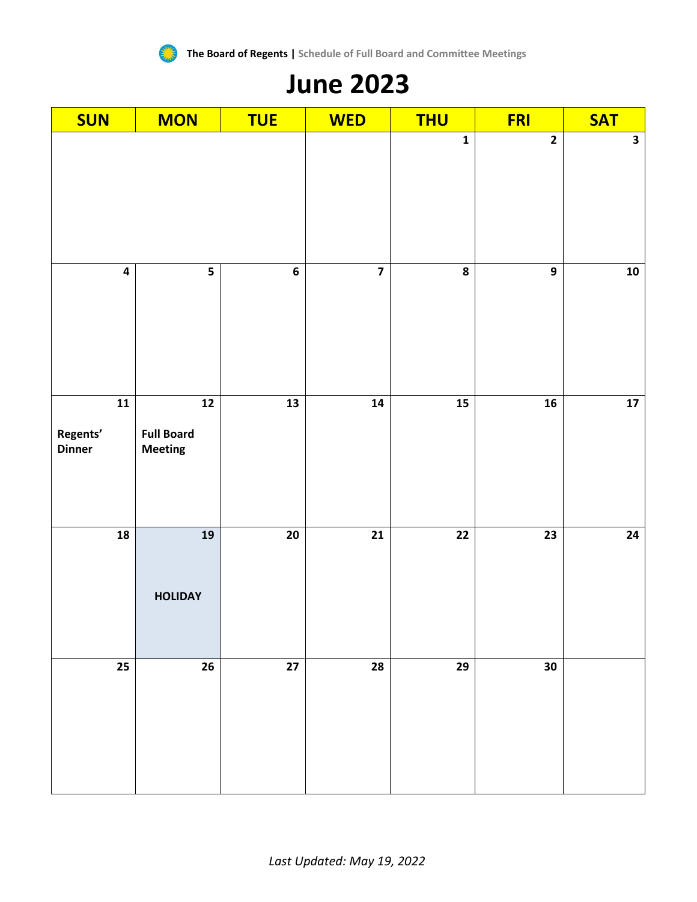

#### **June 2023**

| <b>SUN</b>                              | <b>MON</b>                                             | <b>TUE</b>               | <b>WED</b>              | <b>THU</b>              | <b>FRI</b>      | <b>SAT</b>              |
|-----------------------------------------|--------------------------------------------------------|--------------------------|-------------------------|-------------------------|-----------------|-------------------------|
|                                         |                                                        |                          |                         | $\mathbf{1}$            | $\overline{2}$  | $\overline{\mathbf{3}}$ |
| $\overline{\mathbf{4}}$                 | $\overline{\mathbf{5}}$                                | $\boldsymbol{6}$         | $\overline{\mathbf{z}}$ | $\overline{\mathbf{8}}$ | $\mathbf{9}$    | ${\bf 10}$              |
| ${\bf 11}$<br>Regents'<br><b>Dinner</b> | $\overline{12}$<br><b>Full Board</b><br><b>Meeting</b> | $\overline{\mathbf{13}}$ | 14                      | $15$                    | ${\bf 16}$      | ${\bf 17}$              |
| 18                                      | $\overline{19}$<br><b>HOLIDAY</b>                      | $\overline{20}$          | $\overline{21}$         | $\overline{22}$         | $\overline{23}$ | 24                      |
| 25                                      | ${\bf 26}$                                             | $\overline{27}$          | 28                      | 29                      | 30              |                         |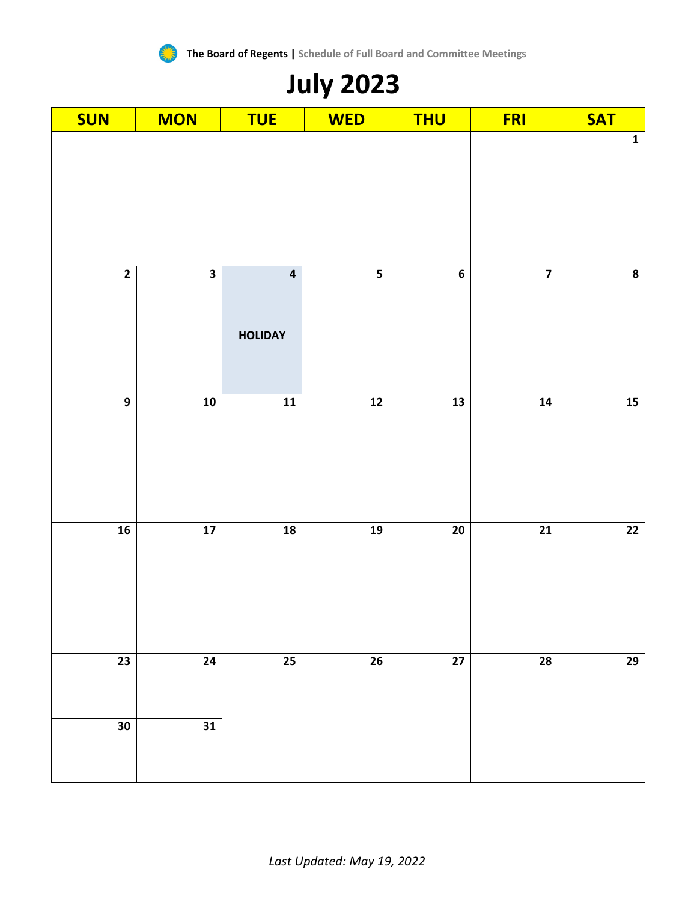

# **July 2023**

| <b>SUN</b>      | <b>MON</b>              | <b>TUE</b>                                | <b>WED</b>               | <b>THU</b>      | <b>FRI</b>              | <b>SAT</b>      |
|-----------------|-------------------------|-------------------------------------------|--------------------------|-----------------|-------------------------|-----------------|
|                 |                         |                                           |                          |                 | $\mathbf{1}$            |                 |
| $\overline{2}$  | $\overline{\mathbf{3}}$ | $\overline{\mathbf{4}}$<br><b>HOLIDAY</b> | $\overline{\mathbf{5}}$  | $\bf 6$         | $\overline{\mathbf{z}}$ | ${\bf 8}$       |
| $\overline{9}$  | $\overline{10}$         | $\overline{11}$                           | $\overline{\mathbf{12}}$ | $\frac{13}{13}$ | $\overline{14}$         | $\overline{15}$ |
| 16              | $\overline{17}$         | $\overline{18}$                           | $\overline{19}$          | 20              | $\overline{21}$         | $\overline{22}$ |
| $\overline{23}$ | 24                      | 25                                        | 26                       | $\overline{27}$ | 28                      | $29$            |
| $30\,$          | 31                      |                                           |                          |                 |                         |                 |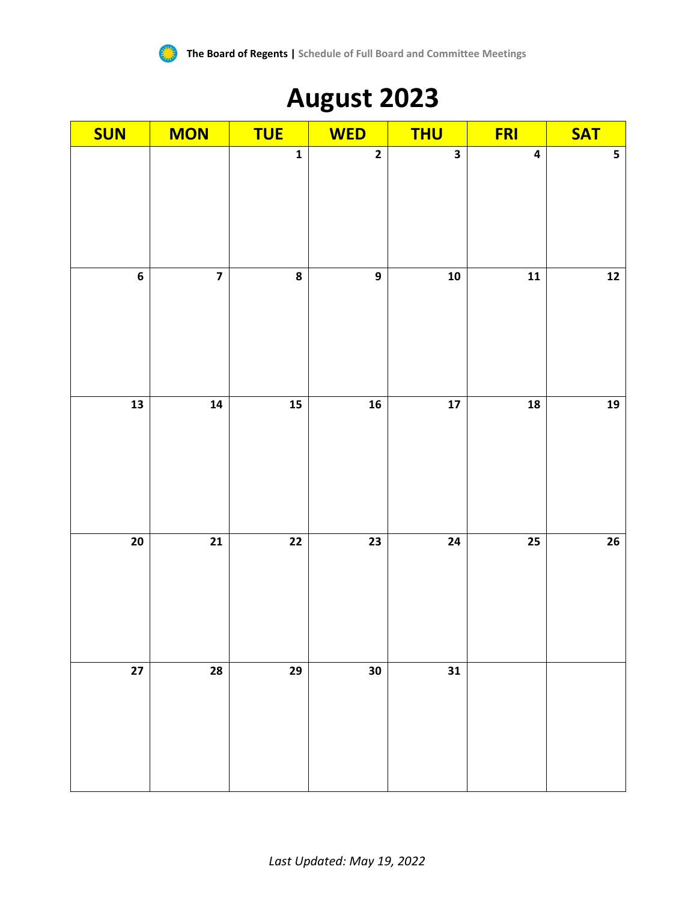

#### **August 2023**

| <b>SUN</b>      | <b>MON</b>              | <b>TUE</b>              | <b>WED</b>              | <b>THU</b>              | <b>FRI</b>              | <b>SAT</b>              |
|-----------------|-------------------------|-------------------------|-------------------------|-------------------------|-------------------------|-------------------------|
|                 |                         | $\mathbf{1}$            | $\overline{\mathbf{2}}$ | $\overline{\mathbf{3}}$ | $\overline{\mathbf{4}}$ | $\overline{\mathbf{5}}$ |
| $\overline{6}$  | $\overline{\mathbf{z}}$ | $\overline{\mathbf{8}}$ | $\overline{9}$          | $10$                    | $\overline{11}$         | $\overline{12}$         |
| ${\bf 13}$      | ${\bf 14}$              | 15                      | ${\bf 16}$              | $17$                    | 18                      | ${\bf 19}$              |
| $\overline{20}$ | $\overline{21}$         | $\overline{22}$         | $\overline{23}$         | $\overline{24}$         | $\overline{25}$         | 26                      |
| $27\,$          | ${\bf 28}$              | 29                      | 30                      | $\bf{31}$               |                         |                         |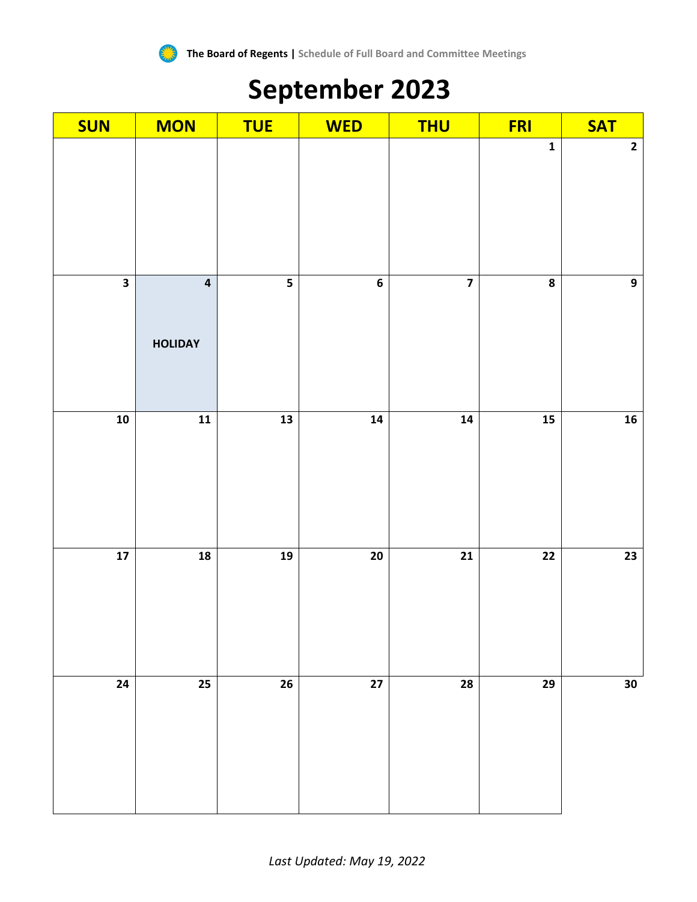

# **September 2023**

| <b>SUN</b>              | <b>MON</b>                                | <b>TUE</b>              | <b>WED</b>       | <b>THU</b> | <b>FRI</b>              | <b>SAT</b>      |
|-------------------------|-------------------------------------------|-------------------------|------------------|------------|-------------------------|-----------------|
|                         |                                           |                         |                  |            | $\mathbf 1$             | $\mathbf{2}$    |
| $\overline{\mathbf{3}}$ | $\overline{\mathbf{4}}$<br><b>HOLIDAY</b> | $\overline{\mathbf{5}}$ | $\boldsymbol{6}$ |            | $\overline{\mathbf{8}}$ | $\overline{9}$  |
| $\overline{10}$         | $\overline{\mathbf{11}}$                  | $\frac{1}{13}$          | $\overline{14}$  | 14         | $\frac{15}{15}$         | 16              |
| $\frac{1}{17}$          | ${\bf 18}$                                | 19                      | 20               | 21         | $\overline{22}$         | $\overline{23}$ |
| 24                      | 25                                        | ${\bf 26}$              | 27               | 28         | 29                      | 30              |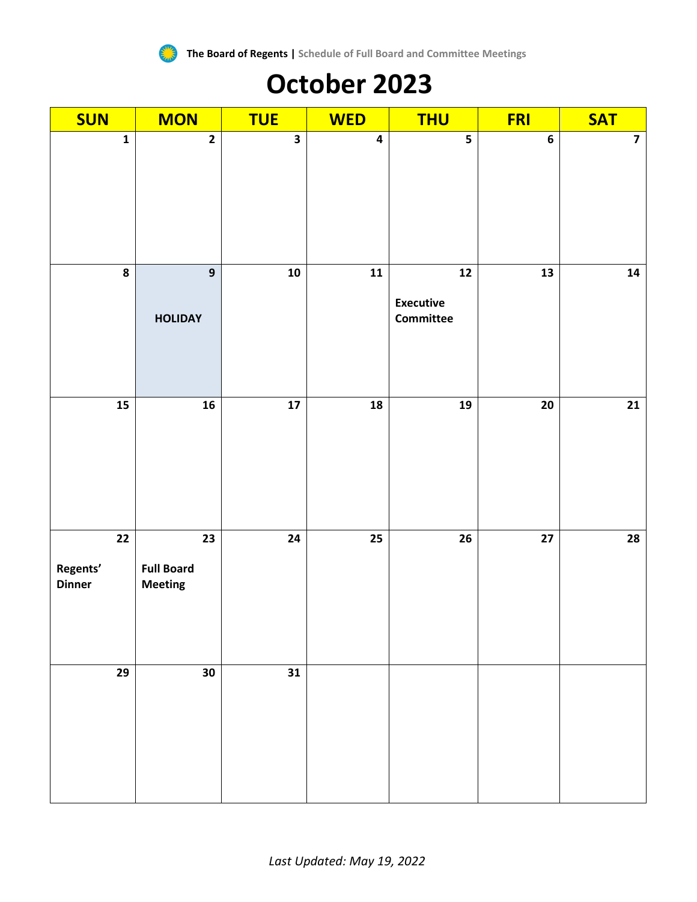

### **October 2023**

| <b>SUN</b>                                   | <b>MON</b>                                             | <b>TUE</b>              | <b>WED</b>              | <b>THU</b>                                         | <b>FRI</b>      | <b>SAT</b>      |
|----------------------------------------------|--------------------------------------------------------|-------------------------|-------------------------|----------------------------------------------------|-----------------|-----------------|
| $\mathbf 1$                                  | $\overline{2}$                                         | $\overline{\mathbf{3}}$ | $\overline{\mathbf{4}}$ | $\overline{\mathbf{5}}$                            | $\bf 6$         | $\overline{7}$  |
| 8                                            | $\boldsymbol{9}$<br><b>HOLIDAY</b>                     | ${\bf 10}$              | $\mathbf{11}$           | $\boldsymbol{12}$<br><b>Executive</b><br>Committee | 13              | ${\bf 14}$      |
| 15                                           | ${\bf 16}$                                             | ${\bf 17}$              | 18                      | 19                                                 | 20              | 21              |
| $\overline{22}$<br>Regents'<br><b>Dinner</b> | $\overline{23}$<br><b>Full Board</b><br><b>Meeting</b> | $\overline{24}$         | $\overline{25}$         | $\overline{26}$                                    | $\overline{27}$ | $\overline{28}$ |
| 29                                           | 30                                                     | 31                      |                         |                                                    |                 |                 |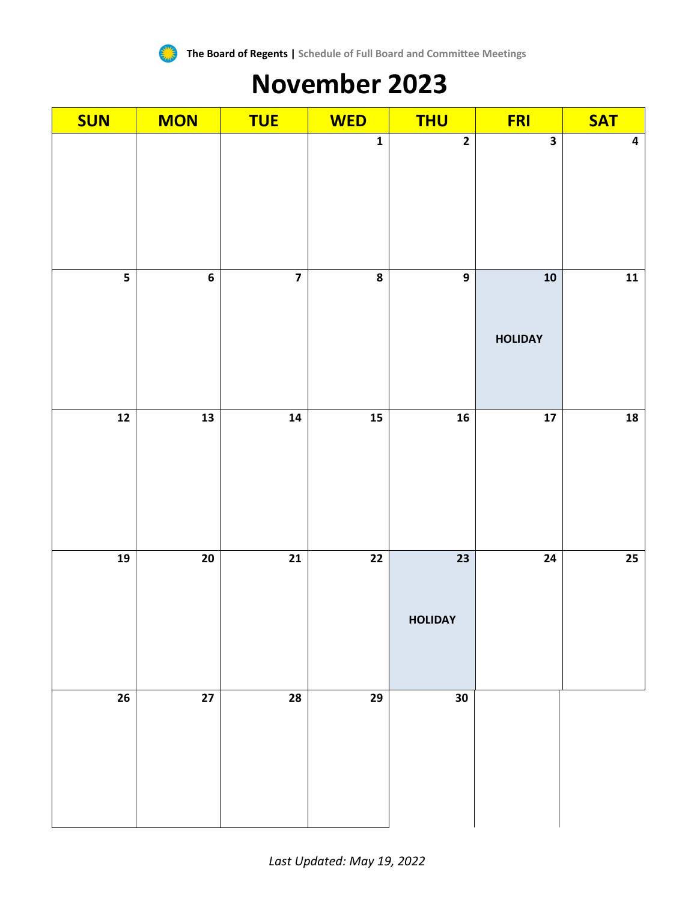

### **November 2023**

| <b>SUN</b>    | <b>MON</b>               | <b>TUE</b>              | <b>WED</b>              | <b>THU</b>                        | <b>FRI</b>                   | <b>SAT</b>              |
|---------------|--------------------------|-------------------------|-------------------------|-----------------------------------|------------------------------|-------------------------|
|               |                          |                         | $\overline{\mathbf{1}}$ | $\overline{2}$                    | $\overline{\mathbf{3}}$      | $\overline{\mathbf{4}}$ |
| 5             | $\bf 6$                  | $\overline{\mathbf{z}}$ | 8                       | $\overline{9}$                    | ${\bf 10}$<br><b>HOLIDAY</b> | $\mathbf{11}$           |
| $\mathbf{12}$ | $\overline{\mathbf{13}}$ | ${\bf 14}$              | 15                      | 16                                | ${\bf 17}$                   | ${\bf 18}$              |
| 19            | $20\,$                   | $\overline{21}$         | $\overline{22}$         | $\overline{23}$<br><b>HOLIDAY</b> | 24                           | $25\phantom{.0}$        |
| ${\bf 26}$    | $27\,$                   | 28                      | 29                      | $30\,$                            |                              |                         |